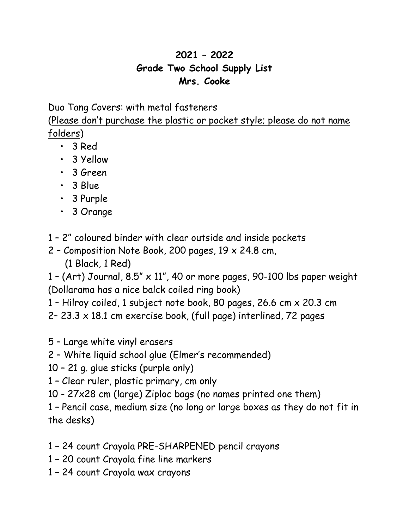## **2021 – 2022 Grade Two School Supply List Mrs. Cooke**

Duo Tang Covers: with metal fasteners

(Please don't purchase the plastic or pocket style; please do not name folders)

- 3 Red
- 3 Yellow
- 3 Green
- 3 Blue
- 3 Purple
- 3 Orange
- 1 2" coloured binder with clear outside and inside pockets
- 2 Composition Note Book, 200 pages, 19 x 24.8 cm, (1 Black, 1 Red)

1 - (Art) Journal,  $8.5'' \times 11''$ , 40 or more pages, 90-100 lbs paper weight (Dollarama has a nice balck coiled ring book)

- 1 Hilroy coiled, 1 subject note book, 80 pages, 26.6 cm x 20.3 cm
- 2– 23.3 x 18.1 cm exercise book, (full page) interlined, 72 pages
- 5 Large white vinyl erasers
- 2 White liquid school glue (Elmer's recommended)
- 10 21 g. glue sticks (purple only)
- 1 Clear ruler, plastic primary, cm only
- 10 27x28 cm (large) Ziploc bags (no names printed one them)
- 1 Pencil case, medium size (no long or large boxes as they do not fit in the desks)
- 1 24 count Crayola PRE-SHARPENED pencil crayons
- 1 20 count Crayola fine line markers
- 1 24 count Crayola wax crayons